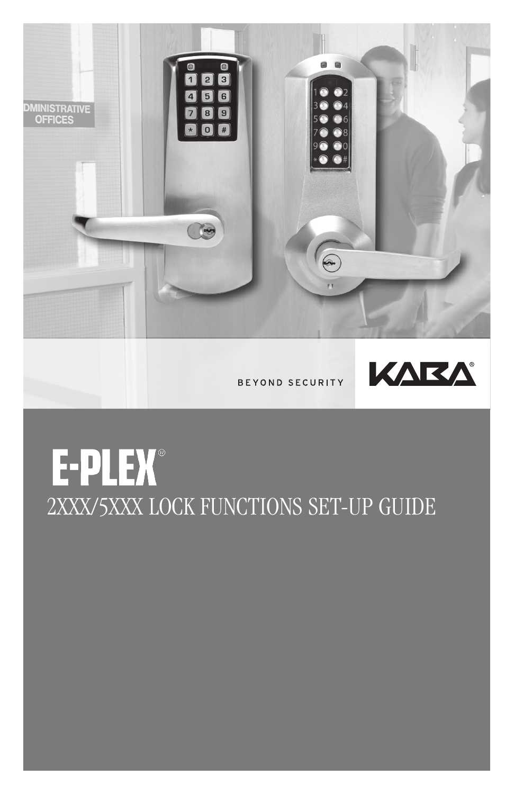

BEYOND SECURITY



# E-PLEX® 2XXX/5XXX LOCK FUNCTIONS SET-UP GUIDE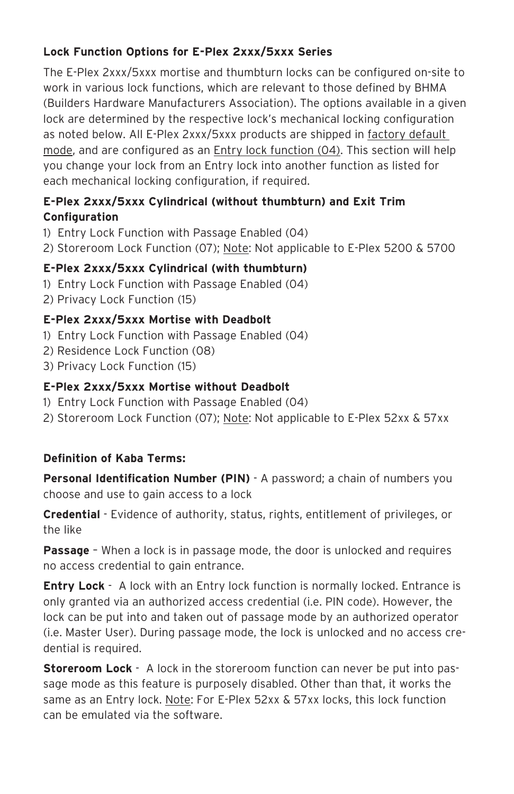## **Lock Function Options for E-Plex 2xxx/5xxx Series**

The E-Plex 2xxx/5xxx mortise and thumbturn locks can be configured on-site to work in various lock functions, which are relevant to those defined by BHMA (Builders Hardware Manufacturers Association). The options available in a given lock are determined by the respective lock's mechanical locking configuration as noted below. All E-Plex 2xxx/5xxx products are shipped in factory default mode, and are configured as an Entry lock function (04). This section will help you change your lock from an Entry lock into another function as listed for each mechanical locking configuration, if required.

### **E-Plex 2xxx/5xxx Cylindrical (without thumbturn) and Exit Trim Configuration**

- 1) Entry Lock Function with Passage Enabled (04)
- 2) Storeroom Lock Function (07); Note: Not applicable to E-Plex 5200 & 5700

## **E-Plex 2xxx/5xxx Cylindrical (with thumbturn)**

- 1) Entry Lock Function with Passage Enabled (04)
- 2) Privacy Lock Function (15)

### **E-Plex 2xxx/5xxx Mortise with Deadbolt**

- 1) Entry Lock Function with Passage Enabled (04)
- 2) Residence Lock Function (08)
- 3) Privacy Lock Function (15)

### **E-Plex 2xxx/5xxx Mortise without Deadbolt**

- 1) Entry Lock Function with Passage Enabled (04)
- 2) Storeroom Lock Function (07); Note: Not applicable to E-Plex 52xx & 57xx

## **Definition of Kaba Terms:**

**Personal Identification Number (PIN)** - A password; a chain of numbers you choose and use to gain access to a lock

**Credential** - Evidence of authority, status, rights, entitlement of privileges, or the like

**Passage** – When a lock is in passage mode, the door is unlocked and requires no access credential to gain entrance.

**Entry Lock** - A lock with an Entry lock function is normally locked. Entrance is only granted via an authorized access credential (i.e. PIN code). However, the lock can be put into and taken out of passage mode by an authorized operator (i.e. Master User). During passage mode, the lock is unlocked and no access credential is required.

**Storeroom Lock** - A lock in the storeroom function can never be put into passage mode as this feature is purposely disabled. Other than that, it works the same as an Entry lock. Note: For E-Plex 52xx & 57xx locks, this lock function can be emulated via the software.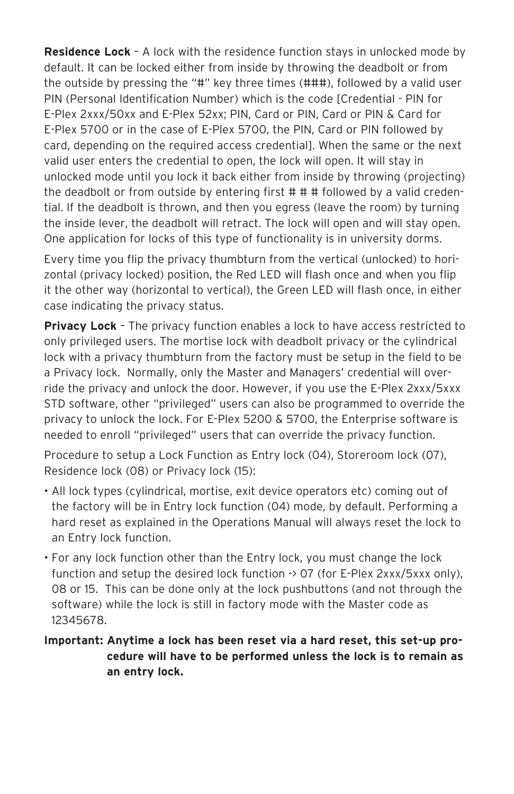**Residence Lock** – A lock with the residence function stays in unlocked mode by default. It can be locked either from inside by throwing the deadbolt or from the outside by pressing the "#" key three times (###), followed by a valid user PIN (Personal Identification Number) which is the code [Credential - PIN for E-Plex 2xxx/50xx and E-Plex 52xx; PIN, Card or PIN, Card or PIN & Card for E-Plex 5700 or in the case of E-Plex 5700, the PIN, Card or PIN followed by card, depending on the required access credential]. When the same or the next valid user enters the credential to open, the lock will open. It will stay in unlocked mode until you lock it back either from inside by throwing (projecting) the deadbolt or from outside by entering first # # # followed by a valid credential. If the deadbolt is thrown, and then you egress (leave the room) by turning the inside lever, the deadbolt will retract. The lock will open and will stay open. One application for locks of this type of functionality is in university dorms.

Every time you flip the privacy thumbturn from the vertical (unlocked) to horizontal (privacy locked) position, the Red LED will flash once and when you flip it the other way (horizontal to vertical), the Green LED will flash once, in either case indicating the privacy status.

**Privacy Lock** – The privacy function enables a lock to have access restricted to only privileged users. The mortise lock with deadbolt privacy or the cylindrical lock with a privacy thumbturn from the factory must be setup in the field to be a Privacy lock. Normally, only the Master and Managers' credential will override the privacy and unlock the door. However, if you use the E-Plex 2xxx/5xxx STD software, other "privileged" users can also be programmed to override the privacy to unlock the lock. For E-Plex 5200 & 5700, the Enterprise software is needed to enroll "privileged" users that can override the privacy function.

Procedure to setup a Lock Function as Entry lock (04), Storeroom lock (07), Residence lock (08) or Privacy lock (15):

- All lock types (cylindrical, mortise, exit device operators etc) coming out of the factory will be in Entry lock function (04) mode, by default. Performing a hard reset as explained in the Operations Manual will always reset the lock to an Entry lock function.
- For any lock function other than the Entry lock, you must change the lock function and setup the desired lock function  $\rightarrow$  07 (for E-Plex 2xxx/5xxx only), 08 or 15. This can be done only at the lock pushbuttons (and not through the software) while the lock is still in factory mode with the Master code as 12345678.

#### **Important: Anytime a lock has been reset via a hard reset, this set-up procedure will have to be performed unless the lock is to remain as an entry lock.**